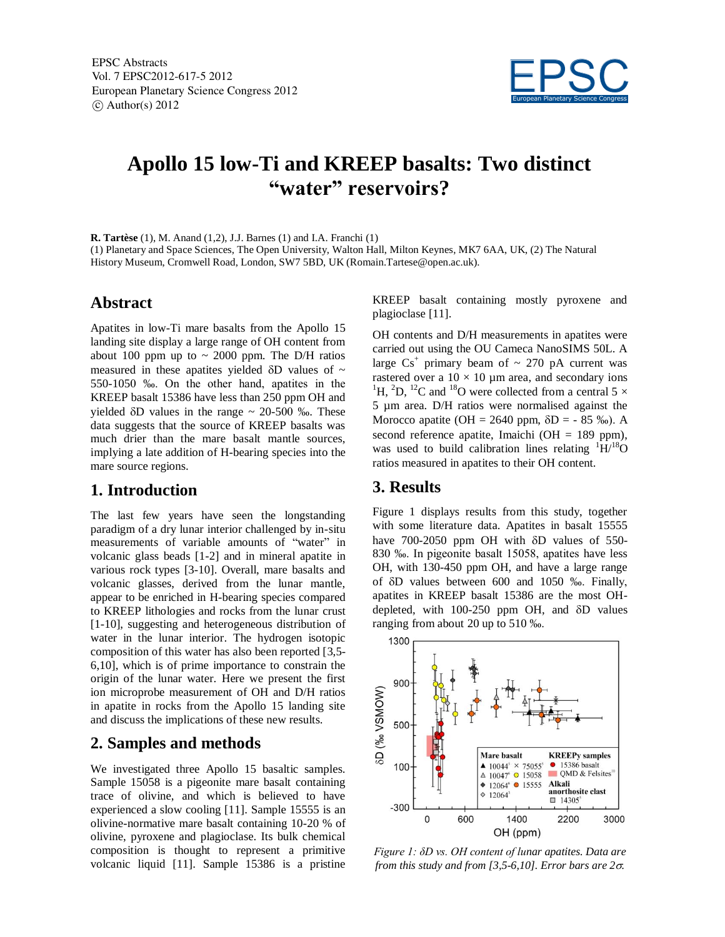

# **Apollo 15 low-Ti and KREEP basalts: Two distinct "water" reservoirs?**

**R. Tartèse** (1), M. Anand (1,2), J.J. Barnes (1) and I.A. Franchi (1) (1) Planetary and Space Sciences, The Open University, Walton Hall, Milton Keynes, MK7 6AA, UK, (2) The Natural History Museum, Cromwell Road, London, SW7 5BD, UK (Romain.Tartese@open.ac.uk).

#### **Abstract**

Apatites in low-Ti mare basalts from the Apollo 15 landing site display a large range of OH content from about 100 ppm up to  $\sim 2000$  ppm. The D/H ratios measured in these apatites yielded  $\delta$ D values of  $\sim$ 550-1050 ‰. On the other hand, apatites in the KREEP basalt 15386 have less than 250 ppm OH and yielded  $\delta D$  values in the range  $\sim$  20-500 ‰. These data suggests that the source of KREEP basalts was much drier than the mare basalt mantle sources, implying a late addition of H-bearing species into the mare source regions.

## **1. Introduction**

The last few years have seen the longstanding paradigm of a dry lunar interior challenged by in-situ measurements of variable amounts of "water" in volcanic glass beads [1-2] and in mineral apatite in various rock types [3-10]. Overall, mare basalts and volcanic glasses, derived from the lunar mantle, appear to be enriched in H-bearing species compared to KREEP lithologies and rocks from the lunar crust [1-10], suggesting and heterogeneous distribution of water in the lunar interior. The hydrogen isotopic composition of this water has also been reported [3,5- 6,10], which is of prime importance to constrain the origin of the lunar water. Here we present the first ion microprobe measurement of OH and D/H ratios in apatite in rocks from the Apollo 15 landing site and discuss the implications of these new results.

## **2. Samples and methods**

We investigated three Apollo 15 basaltic samples. Sample 15058 is a pigeonite mare basalt containing trace of olivine, and which is believed to have experienced a slow cooling [11]. Sample 15555 is an olivine-normative mare basalt containing 10-20 % of olivine, pyroxene and plagioclase. Its bulk chemical composition is thought to represent a primitive volcanic liquid [11]. Sample 15386 is a pristine

KREEP basalt containing mostly pyroxene and plagioclase [11].

OH contents and D/H measurements in apatites were carried out using the OU Cameca NanoSIMS 50L. A large  $Cs^+$  primary beam of  $\sim$  270 pA current was rastered over a  $10 \times 10$  µm area, and secondary ions <sup>1</sup>H, <sup>2</sup>D, <sup>12</sup>C and <sup>18</sup>O were collected from a central 5  $\times$ 5 µm area. D/H ratios were normalised against the Morocco apatite (OH = 2640 ppm,  $\delta$ D = - 85 ‰). A second reference apatite, Imaichi (OH  $= 189$  ppm), was used to build calibration lines relating  ${}^{1}\text{H}/{}^{18}\text{O}$ ratios measured in apatites to their OH content.

## **3. Results**

Figure 1 displays results from this study, together with some literature data. Apatites in basalt 15555 have  $700-2050$  ppm OH with  $\delta$ D values of 550-830 ‰. In pigeonite basalt 15058, apatites have less OH, with 130-450 ppm OH, and have a large range of  $\delta D$  values between 600 and 1050 ‰. Finally, apatites in KREEP basalt 15386 are the most OHdepleted, with  $100-250$  ppm OH, and  $\delta D$  values ranging from about 20 up to 510 ‰.



*Figure 1: δD vs. OH content of lunar apatites. Data are from this study and from [3,5-6,10]. Error bars are*  $2\sigma$ *.*